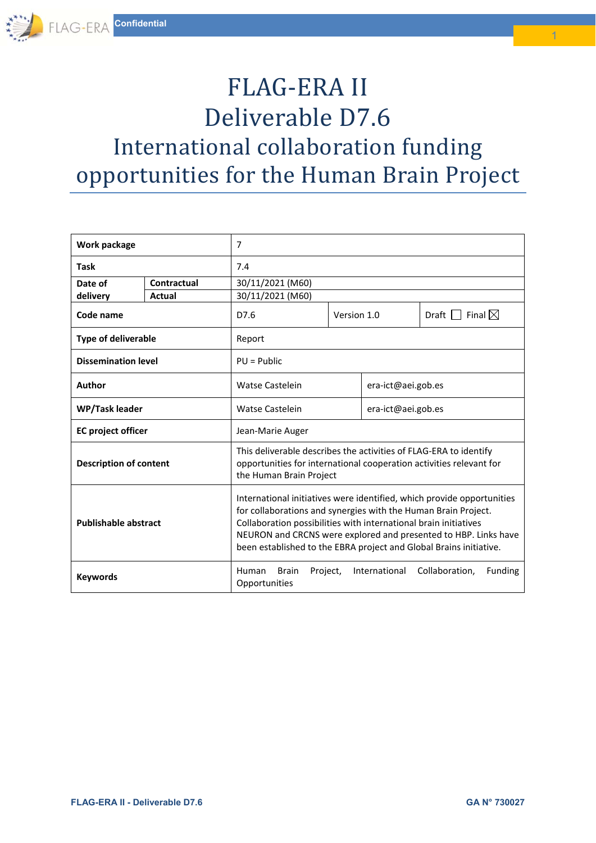# FLAG-ERA II Deliverable D7.6 International collaboration funding opportunities for the Human Brain Project

| Work package                  |             | 7                                                                                                                                                                                                                                                                                                                                                     |             |                    |                                              |
|-------------------------------|-------------|-------------------------------------------------------------------------------------------------------------------------------------------------------------------------------------------------------------------------------------------------------------------------------------------------------------------------------------------------------|-------------|--------------------|----------------------------------------------|
| <b>Task</b>                   |             | 7.4                                                                                                                                                                                                                                                                                                                                                   |             |                    |                                              |
| Date of                       | Contractual | 30/11/2021 (M60)                                                                                                                                                                                                                                                                                                                                      |             |                    |                                              |
| delivery                      | Actual      | 30/11/2021 (M60)                                                                                                                                                                                                                                                                                                                                      |             |                    |                                              |
| Code name                     |             | D7.6                                                                                                                                                                                                                                                                                                                                                  | Version 1.0 |                    | Final $\boxtimes$<br>$Draff$ $\vert \ \vert$ |
| <b>Type of deliverable</b>    |             | Report                                                                                                                                                                                                                                                                                                                                                |             |                    |                                              |
| <b>Dissemination level</b>    |             | $PU = Public$                                                                                                                                                                                                                                                                                                                                         |             |                    |                                              |
| Author                        |             | <b>Watse Castelein</b>                                                                                                                                                                                                                                                                                                                                |             | era-ict@aei.gob.es |                                              |
| <b>WP/Task leader</b>         |             | <b>Watse Castelein</b>                                                                                                                                                                                                                                                                                                                                |             | era-ict@aei.gob.es |                                              |
| <b>EC</b> project officer     |             | Jean-Marie Auger                                                                                                                                                                                                                                                                                                                                      |             |                    |                                              |
| <b>Description of content</b> |             | This deliverable describes the activities of FLAG-ERA to identify<br>opportunities for international cooperation activities relevant for<br>the Human Brain Project                                                                                                                                                                                   |             |                    |                                              |
| <b>Publishable abstract</b>   |             | International initiatives were identified, which provide opportunities<br>for collaborations and synergies with the Human Brain Project.<br>Collaboration possibilities with international brain initiatives<br>NEURON and CRCNS were explored and presented to HBP. Links have<br>been established to the EBRA project and Global Brains initiative. |             |                    |                                              |
| <b>Keywords</b>               |             | Collaboration,<br>International<br>Funding<br><b>Human</b><br>Brain<br>Project,<br>Opportunities                                                                                                                                                                                                                                                      |             |                    |                                              |

1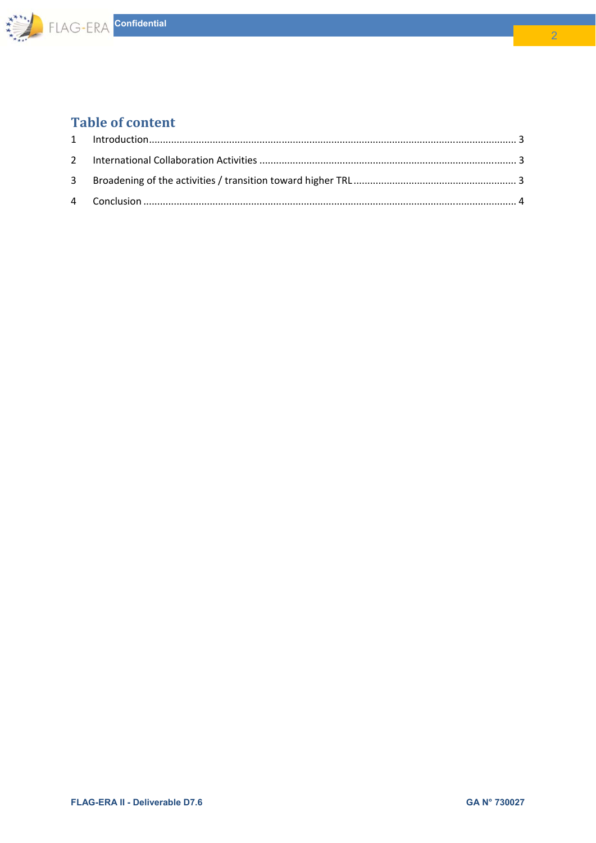

## **Table of content**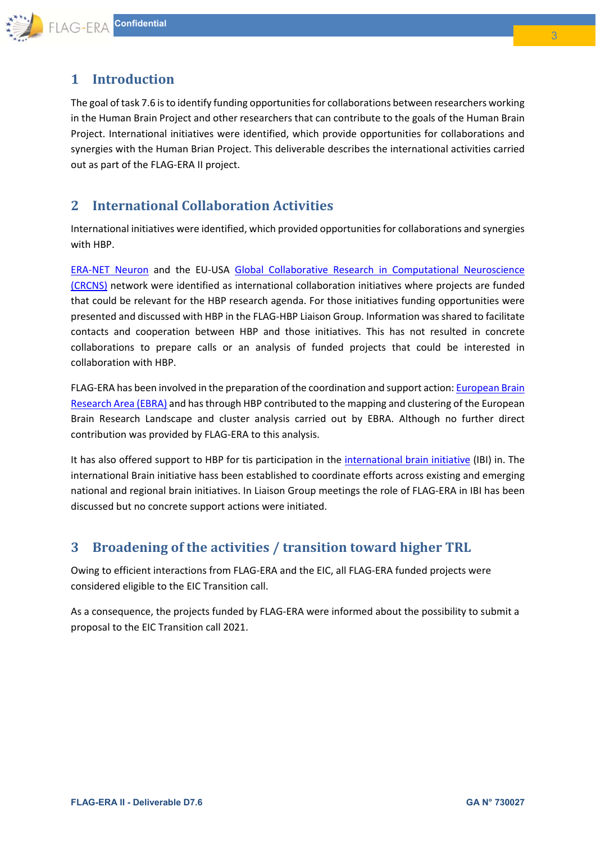

## **1 Introduction**

The goal of task 7.6 is to identify funding opportunities for collaborations between researchers working in the Human Brain Project and other researchers that can contribute to the goals of the Human Brain Project. International initiatives were identified, which provide opportunities for collaborations and synergies with the Human Brian Project. This deliverable describes the international activities carried out as part of the FLAG‐ERA II project.

### **2 International Collaboration Activities**

International initiatives were identified, which provided opportunities for collaborations and synergies with HBP.

ERA‐NET Neuron and the EU‐USA Global Collaborative Research in Computational Neuroscience (CRCNS) network were identified as international collaboration initiatives where projects are funded that could be relevant for the HBP research agenda. For those initiatives funding opportunities were presented and discussed with HBP in the FLAG‐HBP Liaison Group. Information was shared to facilitate contacts and cooperation between HBP and those initiatives. This has not resulted in concrete collaborations to prepare calls or an analysis of funded projects that could be interested in collaboration with HBP.

FLAG-ERA has been involved in the preparation of the coordination and support action: European Brain Research Area (EBRA) and has through HBP contributed to the mapping and clustering of the European Brain Research Landscape and cluster analysis carried out by EBRA. Although no further direct contribution was provided by FLAG‐ERA to this analysis.

It has also offered support to HBP for tis participation in the international brain initiative (IBI) in. The international Brain initiative hass been established to coordinate efforts across existing and emerging national and regional brain initiatives. In Liaison Group meetings the role of FLAG‐ERA in IBI has been discussed but no concrete support actions were initiated.

## **3 Broadening of the activities / transition toward higher TRL**

Owing to efficient interactions from FLAG‐ERA and the EIC, all FLAG‐ERA funded projects were considered eligible to the EIC Transition call.

As a consequence, the projects funded by FLAG‐ERA were informed about the possibility to submit a proposal to the EIC Transition call 2021.